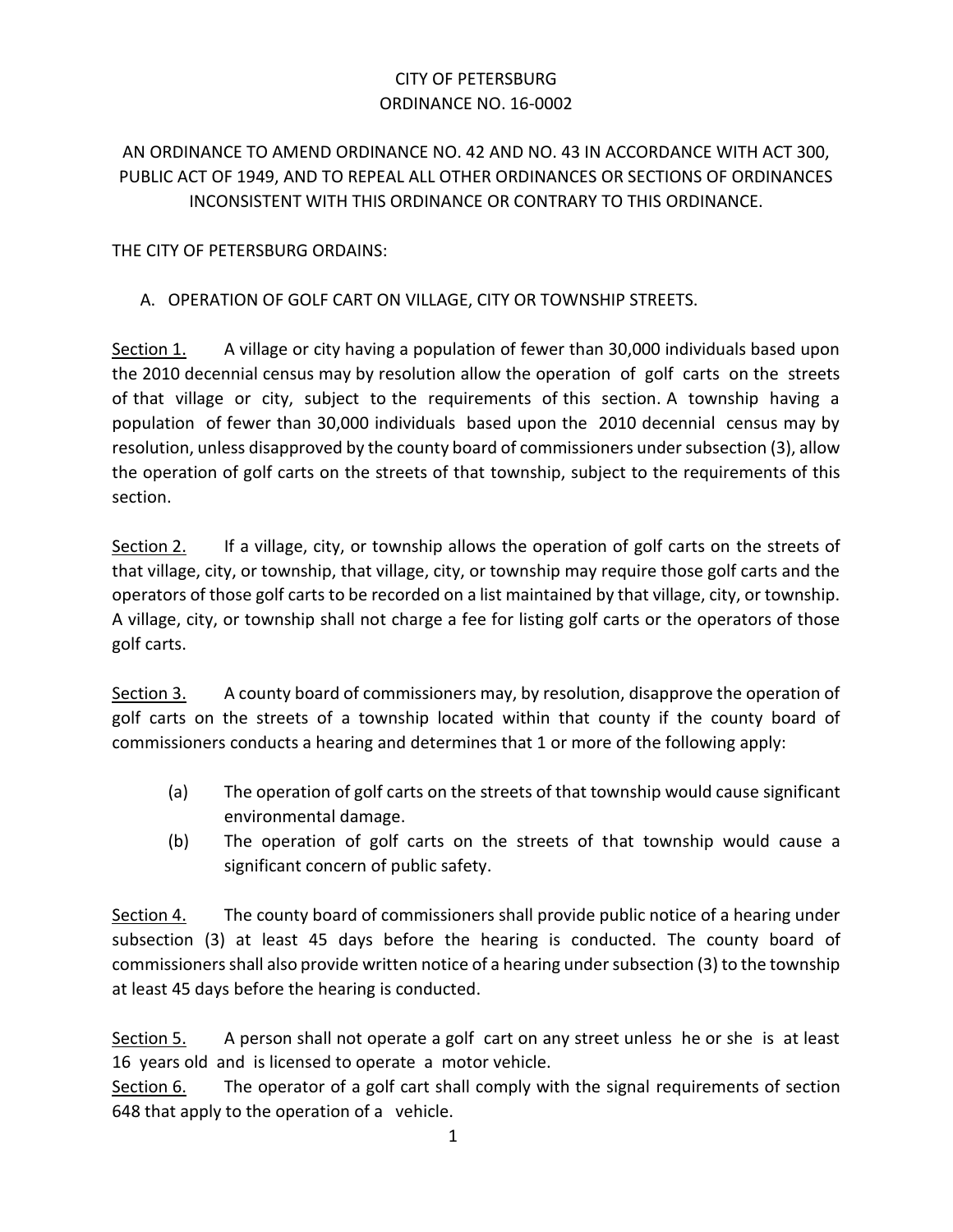## CITY OF PETERSBURG ORDINANCE NO. 16-0002

## AN ORDINANCE TO AMEND ORDINANCE NO. 42 AND NO. 43 IN ACCORDANCE WITH ACT 300, PUBLIC ACT OF 1949, AND TO REPEAL ALL OTHER ORDINANCES OR SECTIONS OF ORDINANCES INCONSISTENT WITH THIS ORDINANCE OR CONTRARY TO THIS ORDINANCE.

THE CITY OF PETERSBURG ORDAINS:

## A. OPERATION OF GOLF CART ON VILLAGE, CITY OR TOWNSHIP STREETS.

Section 1. A village or city having a population of fewer than 30,000 individuals based upon the 2010 decennial census may by resolution allow the operation of golf carts on the streets of that village or city, subject to the requirements of this section. A township having a population of fewer than 30,000 individuals based upon the 2010 decennial census may by resolution, unless disapproved by the county board of commissioners under subsection (3), allow the operation of golf carts on the streets of that township, subject to the requirements of this section.

Section 2. If a village, city, or township allows the operation of golf carts on the streets of that village, city, or township, that village, city, or township may require those golf carts and the operators of those golf carts to be recorded on a list maintained by that village, city, or township. A village, city, or township shall not charge a fee for listing golf carts or the operators of those golf carts.

Section 3. A county board of commissioners may, by resolution, disapprove the operation of golf carts on the streets of a township located within that county if the county board of commissioners conducts a hearing and determines that 1 or more of the following apply:

- (a) The operation of golf carts on the streets of that township would cause significant environmental damage.
- (b) The operation of golf carts on the streets of that township would cause a significant concern of public safety.

Section 4. The county board of commissioners shall provide public notice of a hearing under subsection (3) at least 45 days before the hearing is conducted. The county board of commissioners shall also provide written notice of a hearing under subsection (3) to the township at least 45 days before the hearing is conducted.

Section 5. A person shall not operate a golf cart on any street unless he or she is at least 16 years old and is licensed to operate a motor vehicle.

Section 6. The operator of a golf cart shall comply with the signal requirements of section 648 that apply to the operation of a vehicle.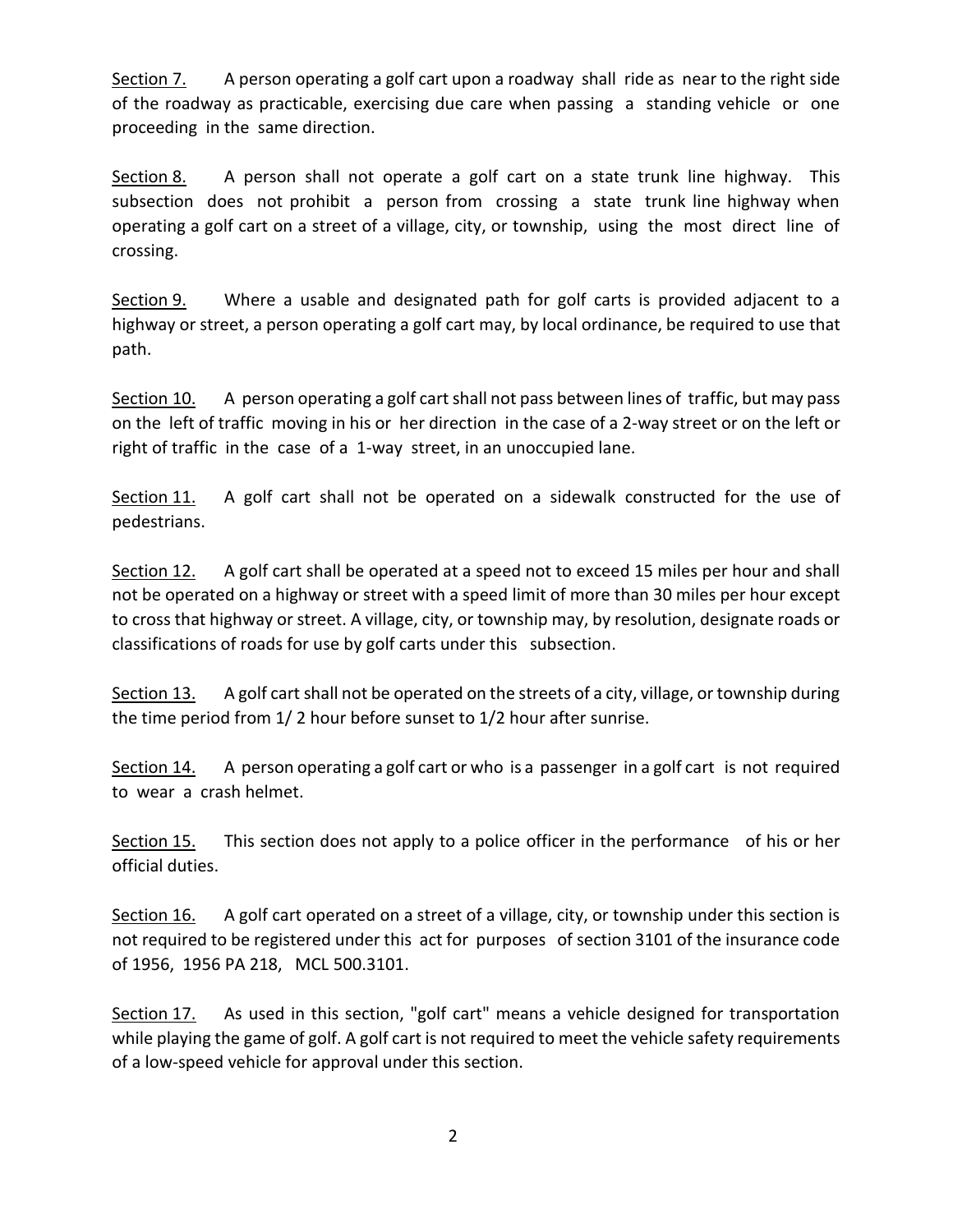Section 7. A person operating a golf cart upon a roadway shall ride as near to the right side of the roadway as practicable, exercising due care when passing a standing vehicle or one proceeding in the same direction.

Section 8. A person shall not operate a golf cart on a state trunk line highway. This subsection does not prohibit a person from crossing a state trunk line highway when operating a golf cart on a street of a village, city, or township, using the most direct line of crossing.

Section 9. Where a usable and designated path for golf carts is provided adjacent to a highway or street, a person operating a golf cart may, by local ordinance, be required to use that path.

Section 10. A person operating a golf cart shall not pass between lines of traffic, but may pass on the left of traffic moving in his or her direction in the case of a 2-way street or on the left or right of traffic in the case of a 1-way street, in an unoccupied lane.

Section 11. A golf cart shall not be operated on a sidewalk constructed for the use of pedestrians.

Section 12. A golf cart shall be operated at a speed not to exceed 15 miles per hour and shall not be operated on a highway or street with a speed limit of more than 30 miles per hour except to cross that highway or street. A village, city, or township may, by resolution, designate roads or classifications of roads for use by golf carts under this subsection.

Section 13. A golf cart shall not be operated on the streets of a city, village, or township during the time period from 1/ 2 hour before sunset to 1/2 hour after sunrise.

Section 14. A person operating a golf cart or who is a passenger in a golf cart is not required to wear a crash helmet.

Section 15. This section does not apply to a police officer in the performance of his or her official duties.

Section 16. A golf cart operated on a street of a village, city, or township under this section is not required to be registered under this act for purposes of section 3101 of the insurance code of 1956, 1956 PA 218, MCL 500.3101.

Section 17. As used in this section, "golf cart" means a vehicle designed for transportation while playing the game of golf. A golf cart is not required to meet the vehicle safety requirements of a low-speed vehicle for approval under this section.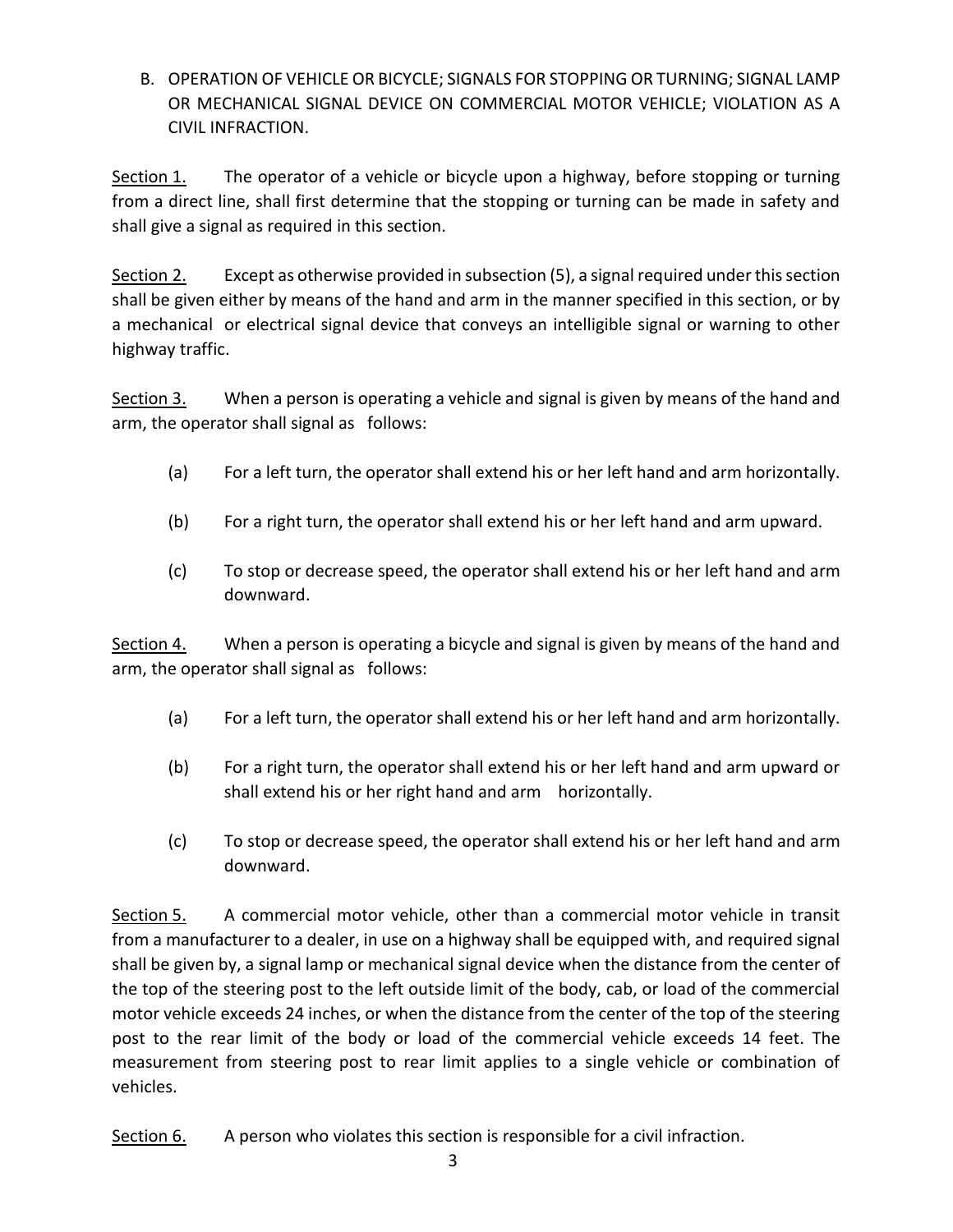B. OPERATION OF VEHICLE OR BICYCLE; SIGNALS FOR STOPPING OR TURNING; SIGNAL LAMP OR MECHANICAL SIGNAL DEVICE ON COMMERCIAL MOTOR VEHICLE; VIOLATION AS A CIVIL INFRACTION.

Section 1. The operator of a vehicle or bicycle upon a highway, before stopping or turning from a direct line, shall first determine that the stopping or turning can be made in safety and shall give a signal as required in this section.

Section 2. Except as otherwise provided in subsection (5), a signal required under this section shall be given either by means of the hand and arm in the manner specified in this section, or by a mechanical or electrical signal device that conveys an intelligible signal or warning to other highway traffic.

Section 3. When a person is operating a vehicle and signal is given by means of the hand and arm, the operator shall signal as follows:

- (a) For a left turn, the operator shall extend his or her left hand and arm horizontally.
- (b) For a right turn, the operator shall extend his or her left hand and arm upward.
- (c) To stop or decrease speed, the operator shall extend his or her left hand and arm downward.

Section 4. When a person is operating a bicycle and signal is given by means of the hand and arm, the operator shall signal as follows:

- (a) For a left turn, the operator shall extend his or her left hand and arm horizontally.
- (b) For a right turn, the operator shall extend his or her left hand and arm upward or shall extend his or her right hand and arm horizontally.
- (c) To stop or decrease speed, the operator shall extend his or her left hand and arm downward.

Section 5. A commercial motor vehicle, other than a commercial motor vehicle in transit from a manufacturer to a dealer, in use on a highway shall be equipped with, and required signal shall be given by, a signal lamp or mechanical signal device when the distance from the center of the top of the steering post to the left outside limit of the body, cab, or load of the commercial motor vehicle exceeds 24 inches, or when the distance from the center of the top of the steering post to the rear limit of the body or load of the commercial vehicle exceeds 14 feet. The measurement from steering post to rear limit applies to a single vehicle or combination of vehicles.

Section 6. A person who violates this section is responsible for a civil infraction.